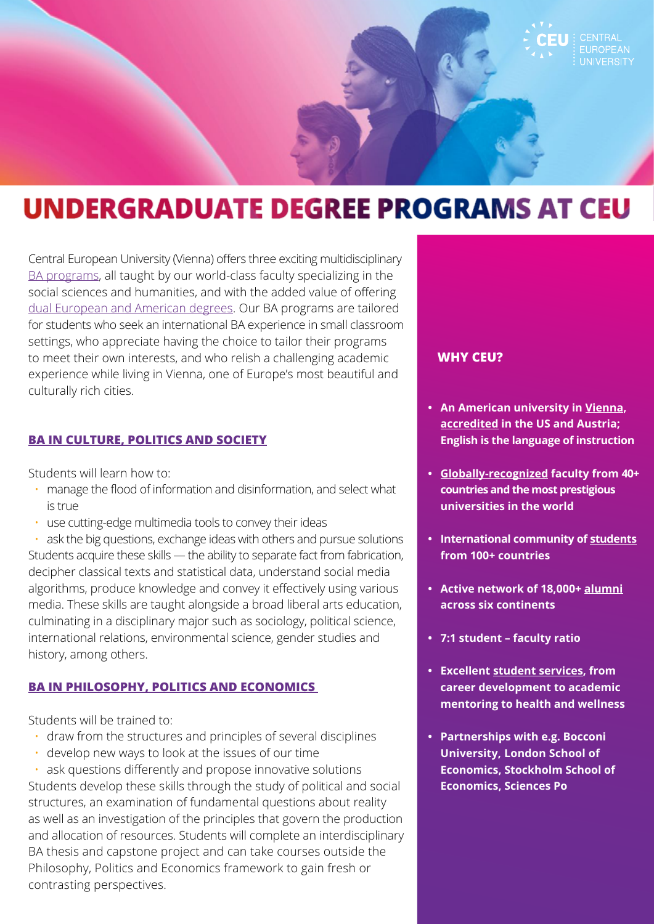

# **UNDERGRADUATE DEGREE PROGRAMS AT CEU**

Central European University (Vienna) offers three exciting multidisciplinary [BA programs](https://undergraduate.ceu.edu/), all taught by our world-class faculty specializing in the social sciences and humanities, and with the added value of offering [dual European and American degrees](https://www.ceu.edu/administration/accreditation). Our BA programs are tailored for students who seek an international BA experience in small classroom settings, who appreciate having the choice to tailor their programs to meet their own interests, and who relish a challenging academic experience while living in Vienna, one of Europe's most beautiful and culturally rich cities.

#### **[BA IN CULTURE, POLITICS AND SOCIETY](https://undergraduate.ceu.edu/bachelors-degree-culture-politics-society)**

Students will learn how to:

- manage the flood of information and disinformation, and select what is true
- use cutting-edge multimedia tools to convey their ideas

• ask the big questions, exchange ideas with others and pursue solutions Students acquire these skills — the ability to separate fact from fabrication, decipher classical texts and statistical data, understand social media algorithms, produce knowledge and convey it effectively using various media. These skills are taught alongside a broad liberal arts education, culminating in a disciplinary major such as sociology, political science, international relations, environmental science, gender studies and history, among others.

#### **[BA IN PHILOSOPHY, POLITICS AND ECONOMICS](https://undergraduate.ceu.edu/bachelors-degree-philosophy-politics-economics)**

Students will be trained to:

- draw from the structures and principles of several disciplines
- develop new ways to look at the issues of our time

ask questions differently and propose innovative solutions Students develop these skills through the study of political and social structures, an examination of fundamental questions about reality as well as an investigation of the principles that govern the production and allocation of resources. Students will complete an interdisciplinary BA thesis and capstone project and can take courses outside the Philosophy, Politics and Economics framework to gain fresh or  $contrasting perspectives.$ 

#### **WHY CEU?**

- **• An American university in [Vienna,](https://www.ceu.edu/vienna) [accredited](https://www.ceu.edu/administration/accreditation) in the US and Austria; English is the language of instruction**
- **• [Globally-recognized](https://www.ceu.edu/node/23668) faculty from 40+ countries and the most prestigious universities in the world**
- **• International community of [students](https://www.ceu.edu/about/facts-figures/students) from 100+ countries**
- **• Active network of 18,000+ [alumni](https://www.ceu.edu/about/facts-figures/alumni) across six continents**
- **• 7:1 student faculty ratio**
- **• Excellent [student services,](https://www.ceu.edu/studentlife) from career development to academic mentoring to health and wellness**
- **• Partnerships with e.g. Bocconi University, London School of Economics, Stockholm School of Economics, Sciences Po**